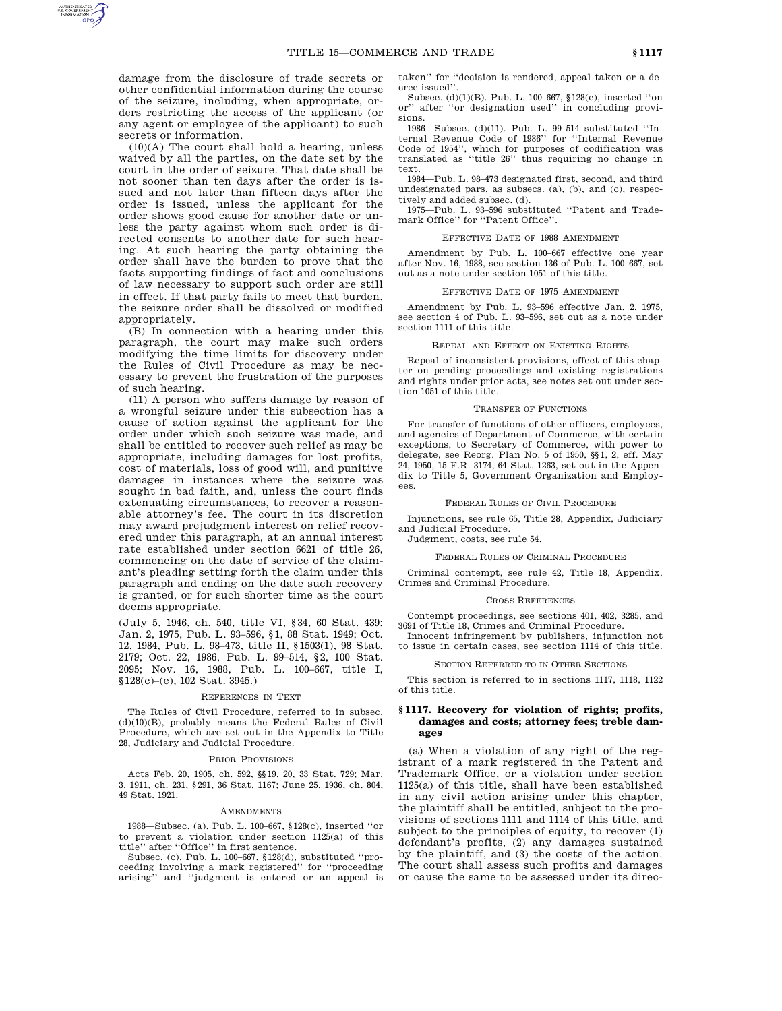damage from the disclosure of trade secrets or other confidential information during the course of the seizure, including, when appropriate, orders restricting the access of the applicant (or any agent or employee of the applicant) to such secrets or information.

(10)(A) The court shall hold a hearing, unless waived by all the parties, on the date set by the court in the order of seizure. That date shall be not sooner than ten days after the order is issued and not later than fifteen days after the order is issued, unless the applicant for the order shows good cause for another date or unless the party against whom such order is directed consents to another date for such hearing. At such hearing the party obtaining the order shall have the burden to prove that the facts supporting findings of fact and conclusions of law necessary to support such order are still in effect. If that party fails to meet that burden, the seizure order shall be dissolved or modified appropriately.

(B) In connection with a hearing under this paragraph, the court may make such orders modifying the time limits for discovery under the Rules of Civil Procedure as may be necessary to prevent the frustration of the purposes of such hearing.

(11) A person who suffers damage by reason of a wrongful seizure under this subsection has a cause of action against the applicant for the order under which such seizure was made, and shall be entitled to recover such relief as may be appropriate, including damages for lost profits, cost of materials, loss of good will, and punitive damages in instances where the seizure was sought in bad faith, and, unless the court finds extenuating circumstances, to recover a reasonable attorney's fee. The court in its discretion may award prejudgment interest on relief recovered under this paragraph, at an annual interest rate established under section 6621 of title 26, commencing on the date of service of the claimant's pleading setting forth the claim under this paragraph and ending on the date such recovery is granted, or for such shorter time as the court deems appropriate.

(July 5, 1946, ch. 540, title VI, §34, 60 Stat. 439; Jan. 2, 1975, Pub. L. 93–596, §1, 88 Stat. 1949; Oct. 12, 1984, Pub. L. 98–473, title II, §1503(1), 98 Stat. 2179; Oct. 22, 1986, Pub. L. 99–514, §2, 100 Stat. 2095; Nov. 16, 1988, Pub. L. 100–667, title I, §128(c)–(e), 102 Stat. 3945.)

# REFERENCES IN TEXT

The Rules of Civil Procedure, referred to in subsec. (d)(10)(B), probably means the Federal Rules of Civil Procedure, which are set out in the Appendix to Title 28, Judiciary and Judicial Procedure.

## PRIOR PROVISIONS

Acts Feb. 20, 1905, ch. 592, §§19, 20, 33 Stat. 729; Mar. 3, 1911, ch. 231, §291, 36 Stat. 1167; June 25, 1936, ch. 804, 49 Stat. 1921.

## **AMENDMENTS**

1988—Subsec. (a). Pub. L. 100–667, §128(c), inserted ''or to prevent a violation under section 1125(a) of this title'' after ''Office'' in first sentence.

Subsec. (c). Pub. L. 100–667, §128(d), substituted ''proceeding involving a mark registered'' for ''proceeding arising'' and ''judgment is entered or an appeal is taken'' for ''decision is rendered, appeal taken or a decree issued''.

Subsec. (d)(1)(B). Pub. L. 100–667, §128(e), inserted ''on or'' after ''or designation used'' in concluding provisions.

1986—Subsec. (d)(11). Pub. L. 99–514 substituted ''Internal Revenue Code of 1986'' for ''Internal Revenue Code of 1954'', which for purposes of codification was translated as ''title 26'' thus requiring no change in text.

1984—Pub. L. 98–473 designated first, second, and third undesignated pars. as subsecs. (a), (b), and (c), respectively and added subsec. (d).

1975—Pub. L. 93–596 substituted ''Patent and Trademark Office'' for ''Patent Office''.

# EFFECTIVE DATE OF 1988 AMENDMENT

Amendment by Pub. L. 100–667 effective one year after Nov. 16, 1988, see section 136 of Pub. L. 100–667, set out as a note under section 1051 of this title.

## EFFECTIVE DATE OF 1975 AMENDMENT

Amendment by Pub. L. 93–596 effective Jan. 2, 1975, see section 4 of Pub. L. 93–596, set out as a note under section 1111 of this title.

#### REPEAL AND EFFECT ON EXISTING RIGHTS

Repeal of inconsistent provisions, effect of this chapter on pending proceedings and existing registrations and rights under prior acts, see notes set out under section 1051 of this title.

#### TRANSFER OF FUNCTIONS

For transfer of functions of other officers, employees, and agencies of Department of Commerce, with certain exceptions, to Secretary of Commerce, with power to delegate, see Reorg. Plan No. 5 of 1950, §§1, 2, eff. May 24, 1950, 15 F.R. 3174, 64 Stat. 1263, set out in the Appendix to Title 5, Government Organization and Employees.

# FEDERAL RULES OF CIVIL PROCEDURE

Injunctions, see rule 65, Title 28, Appendix, Judiciary and Judicial Procedure.

Judgment, costs, see rule 54.

## FEDERAL RULES OF CRIMINAL PROCEDURE

Criminal contempt, see rule 42, Title 18, Appendix, Crimes and Criminal Procedure.

## CROSS REFERENCES

Contempt proceedings, see sections 401, 402, 3285, and 3691 of Title 18, Crimes and Criminal Procedure.

Innocent infringement by publishers, injunction not to issue in certain cases, see section 1114 of this title.

## SECTION REFERRED TO IN OTHER SECTIONS

This section is referred to in sections 1117, 1118, 1122 of this title.

# **§ 1117. Recovery for violation of rights; profits, damages and costs; attorney fees; treble damages**

(a) When a violation of any right of the registrant of a mark registered in the Patent and Trademark Office, or a violation under section 1125(a) of this title, shall have been established in any civil action arising under this chapter, the plaintiff shall be entitled, subject to the provisions of sections 1111 and 1114 of this title, and subject to the principles of equity, to recover (1) defendant's profits, (2) any damages sustained by the plaintiff, and (3) the costs of the action. The court shall assess such profits and damages or cause the same to be assessed under its direc-